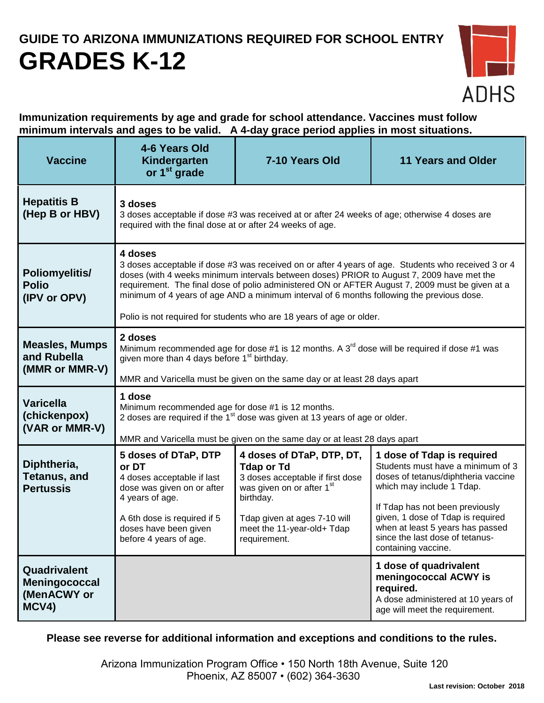## **GUIDE TO ARIZONA IMMUNIZATIONS REQUIRED FOR SCHOOL ENTRY GRADES K-12**



**Immunization requirements by age and grade for school attendance. Vaccines must follow minimum intervals and ages to be valid. A 4-day grace period applies in most situations.**

| <b>Vaccine</b>                                         | 4-6 Years Old<br>Kindergarten<br>or 1 <sup>st</sup> grade                                                                                                                                                                                                                                                                                                                                                                                                                           | 7-10 Years Old                                                                                                                                                                                                         | <b>11 Years and Older</b>                                                                                                                                                                                                                                                                                 |
|--------------------------------------------------------|-------------------------------------------------------------------------------------------------------------------------------------------------------------------------------------------------------------------------------------------------------------------------------------------------------------------------------------------------------------------------------------------------------------------------------------------------------------------------------------|------------------------------------------------------------------------------------------------------------------------------------------------------------------------------------------------------------------------|-----------------------------------------------------------------------------------------------------------------------------------------------------------------------------------------------------------------------------------------------------------------------------------------------------------|
| <b>Hepatitis B</b><br>(Hep B or HBV)                   | 3 doses<br>3 doses acceptable if dose #3 was received at or after 24 weeks of age; otherwise 4 doses are<br>required with the final dose at or after 24 weeks of age.                                                                                                                                                                                                                                                                                                               |                                                                                                                                                                                                                        |                                                                                                                                                                                                                                                                                                           |
| Poliomyelitis/<br><b>Polio</b><br>(IPV or OPV)         | 4 doses<br>3 doses acceptable if dose #3 was received on or after 4 years of age. Students who received 3 or 4<br>doses (with 4 weeks minimum intervals between doses) PRIOR to August 7, 2009 have met the<br>requirement. The final dose of polio administered ON or AFTER August 7, 2009 must be given at a<br>minimum of 4 years of age AND a minimum interval of 6 months following the previous dose.<br>Polio is not required for students who are 18 years of age or older. |                                                                                                                                                                                                                        |                                                                                                                                                                                                                                                                                                           |
| <b>Measles, Mumps</b><br>and Rubella<br>(MMR or MMR-V) | 2 doses<br>Minimum recommended age for dose #1 is 12 months. A $3rd$ dose will be required if dose #1 was<br>given more than 4 days before 1 <sup>st</sup> birthday.<br>MMR and Varicella must be given on the same day or at least 28 days apart                                                                                                                                                                                                                                   |                                                                                                                                                                                                                        |                                                                                                                                                                                                                                                                                                           |
| <b>Varicella</b><br>(chickenpox)<br>(VAR or MMR-V)     | 1 dose<br>Minimum recommended age for dose #1 is 12 months.<br>2 doses are required if the 1 <sup>st</sup> dose was given at 13 years of age or older.<br>MMR and Varicella must be given on the same day or at least 28 days apart                                                                                                                                                                                                                                                 |                                                                                                                                                                                                                        |                                                                                                                                                                                                                                                                                                           |
| Diphtheria,<br><b>Tetanus, and</b><br><b>Pertussis</b> | 5 doses of DTaP, DTP<br>or DT<br>4 doses acceptable if last<br>dose was given on or after<br>4 years of age.<br>A 6th dose is required if 5<br>doses have been given<br>before 4 years of age.                                                                                                                                                                                                                                                                                      | 4 doses of DTaP, DTP, DT,<br><b>Tdap or Td</b><br>3 doses acceptable if first dose<br>was given on or after 1 <sup>st</sup><br>birthday.<br>Tdap given at ages 7-10 will<br>meet the 11-year-old+ Tdap<br>requirement. | 1 dose of Tdap is required<br>Students must have a minimum of 3<br>doses of tetanus/diphtheria vaccine<br>which may include 1 Tdap.<br>If Tdap has not been previously<br>given, 1 dose of Tdap is required<br>when at least 5 years has passed<br>since the last dose of tetanus-<br>containing vaccine. |
| Quadrivalent<br>Meningococcal<br>(MenACWY or<br>MCV4)  |                                                                                                                                                                                                                                                                                                                                                                                                                                                                                     |                                                                                                                                                                                                                        | 1 dose of quadrivalent<br>meningococcal ACWY is<br>required.<br>A dose administered at 10 years of<br>age will meet the requirement.                                                                                                                                                                      |

**Please see reverse for additional information and exceptions and conditions to the rules.**